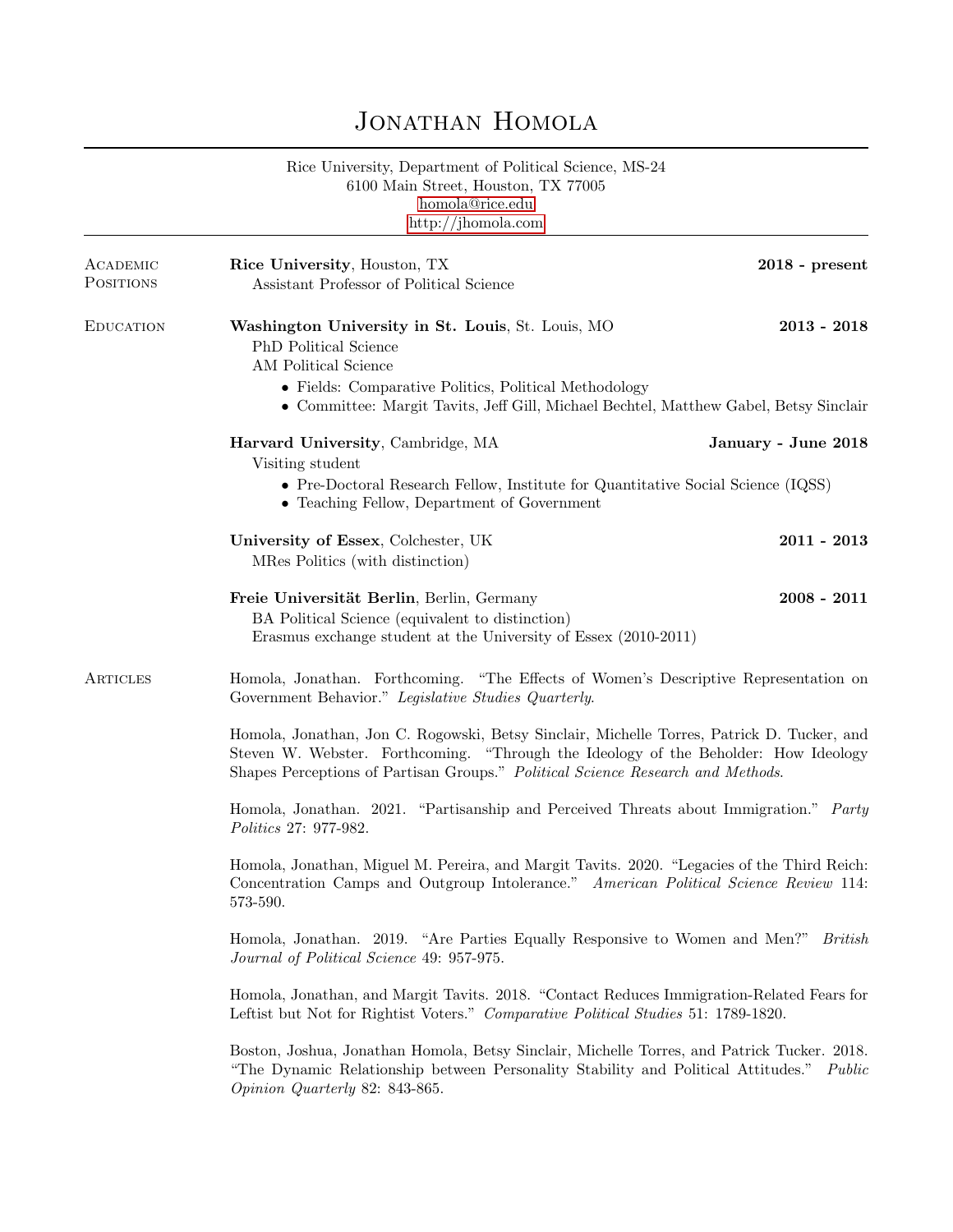## JONATHAN HOMOLA

Rice University, Department of Political Science, MS-24 6100 Main Street, Houston, TX 77005 [homola@rice.edu](mailto:homola@rice.edu) <http://jhomola.com>

| <b>EDUCATION</b> | Washington University in St. Louis, St. Louis, MO<br>PhD Political Science<br>AM Political Science<br>• Fields: Comparative Politics, Political Methodology<br>• Committee: Margit Tavits, Jeff Gill, Michael Bechtel, Matthew Gabel, Betsy Sinclair<br>Harvard University, Cambridge, MA<br>Visiting student<br>• Pre-Doctoral Research Fellow, Institute for Quantitative Social Science (IQSS)<br>• Teaching Fellow, Department of Government<br>University of Essex, Colchester, UK<br>MRes Politics (with distinction)<br>Freie Universität Berlin, Berlin, Germany<br>BA Political Science (equivalent to distinction) | $2013 - 2018$<br>January - June 2018<br>$2011 - 2013$<br>$2008 - 2011$ |  |
|------------------|------------------------------------------------------------------------------------------------------------------------------------------------------------------------------------------------------------------------------------------------------------------------------------------------------------------------------------------------------------------------------------------------------------------------------------------------------------------------------------------------------------------------------------------------------------------------------------------------------------------------------|------------------------------------------------------------------------|--|
|                  |                                                                                                                                                                                                                                                                                                                                                                                                                                                                                                                                                                                                                              |                                                                        |  |
|                  |                                                                                                                                                                                                                                                                                                                                                                                                                                                                                                                                                                                                                              |                                                                        |  |
|                  |                                                                                                                                                                                                                                                                                                                                                                                                                                                                                                                                                                                                                              |                                                                        |  |
|                  | Erasmus exchange student at the University of Essex (2010-2011)                                                                                                                                                                                                                                                                                                                                                                                                                                                                                                                                                              |                                                                        |  |
| ARTICLES         | Homola, Jonathan. Forthcoming. "The Effects of Women's Descriptive Representation on<br>Government Behavior." Legislative Studies Quarterly.                                                                                                                                                                                                                                                                                                                                                                                                                                                                                 |                                                                        |  |
|                  | Homola, Jonathan, Jon C. Rogowski, Betsy Sinclair, Michelle Torres, Patrick D. Tucker, and<br>Steven W. Webster. Forthcoming. "Through the Ideology of the Beholder: How Ideology<br>Shapes Perceptions of Partisan Groups." Political Science Research and Methods.                                                                                                                                                                                                                                                                                                                                                         |                                                                        |  |
|                  | Homola, Jonathan. 2021. "Partisanship and Perceived Threats about Immigration." Party<br>Politics 27: 977-982.                                                                                                                                                                                                                                                                                                                                                                                                                                                                                                               |                                                                        |  |
|                  | Homola, Jonathan, Miguel M. Pereira, and Margit Tavits. 2020. "Legacies of the Third Reich:<br>Concentration Camps and Outgroup Intolerance." American Political Science Review 114:<br>573-590.                                                                                                                                                                                                                                                                                                                                                                                                                             |                                                                        |  |
|                  | Homola, Jonathan. 2019. "Are Parties Equally Responsive to Women and Men?" British<br>Journal of Political Science 49: 957-975.                                                                                                                                                                                                                                                                                                                                                                                                                                                                                              |                                                                        |  |
|                  | Homola, Jonathan, and Margit Tavits. 2018. "Contact Reduces Immigration-Related Fears for<br>Leftist but Not for Rightist Voters." Comparative Political Studies 51: 1789-1820.                                                                                                                                                                                                                                                                                                                                                                                                                                              |                                                                        |  |
|                  | Boston, Joshua, Jonathan Homola, Betsy Sinclair, Michelle Torres, and Patrick Tucker. 2018.<br>"The Dynamic Relationship between Personality Stability and Political Attitudes."<br>Public<br>Opinion Quarterly 82: 843-865.                                                                                                                                                                                                                                                                                                                                                                                                 |                                                                        |  |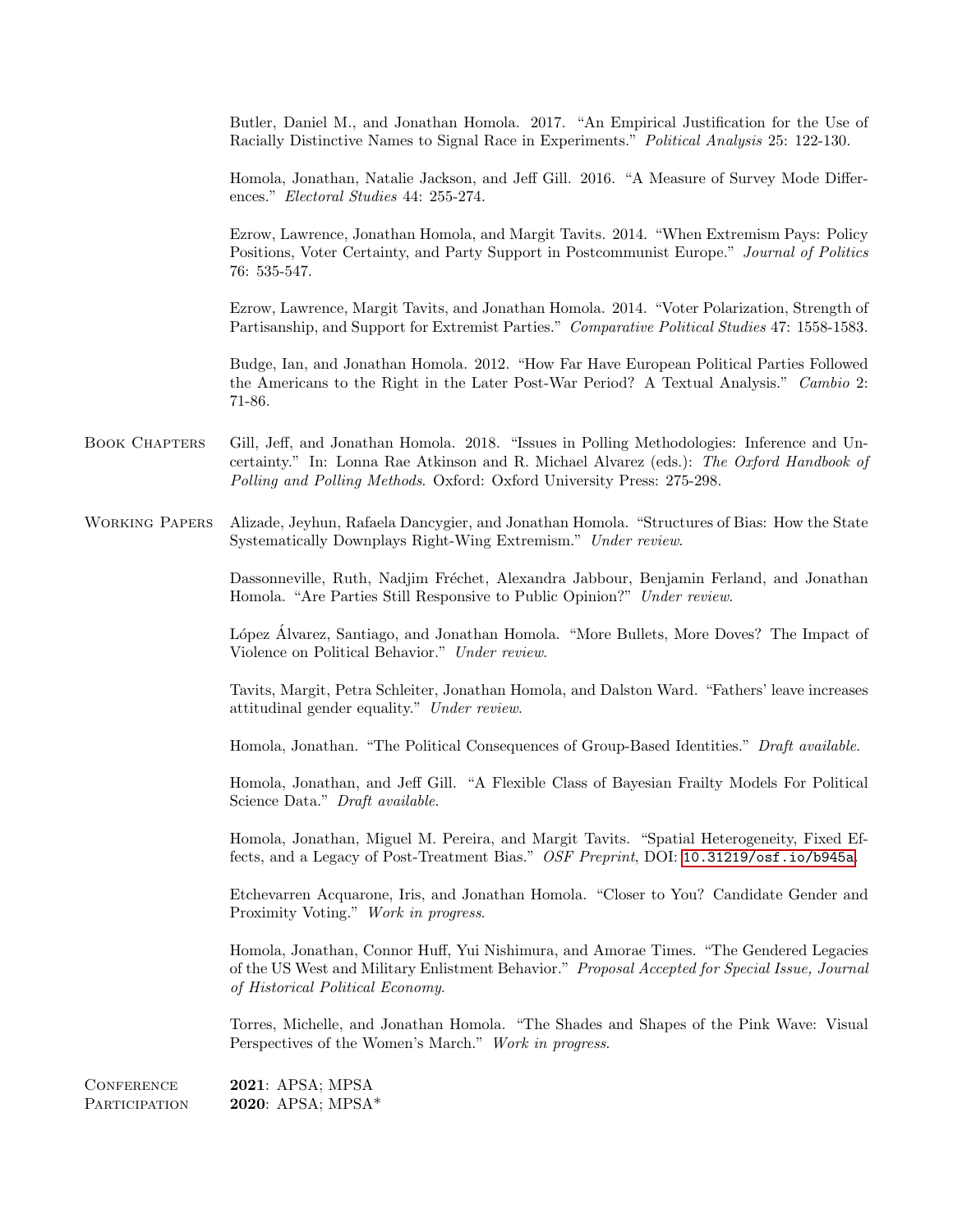Butler, Daniel M., and Jonathan Homola. 2017. "An Empirical Justification for the Use of Racially Distinctive Names to Signal Race in Experiments." Political Analysis 25: 122-130.

Homola, Jonathan, Natalie Jackson, and Jeff Gill. 2016. "A Measure of Survey Mode Differences." Electoral Studies 44: 255-274.

Ezrow, Lawrence, Jonathan Homola, and Margit Tavits. 2014. "When Extremism Pays: Policy Positions, Voter Certainty, and Party Support in Postcommunist Europe." Journal of Politics 76: 535-547.

Ezrow, Lawrence, Margit Tavits, and Jonathan Homola. 2014. "Voter Polarization, Strength of Partisanship, and Support for Extremist Parties." Comparative Political Studies 47: 1558-1583.

Budge, Ian, and Jonathan Homola. 2012. "How Far Have European Political Parties Followed the Americans to the Right in the Later Post-War Period? A Textual Analysis." Cambio 2: 71-86.

- Book Chapters Gill, Jeff, and Jonathan Homola. 2018. "Issues in Polling Methodologies: Inference and Uncertainty." In: Lonna Rae Atkinson and R. Michael Alvarez (eds.): The Oxford Handbook of Polling and Polling Methods. Oxford: Oxford University Press: 275-298.
- Working Papers Alizade, Jeyhun, Rafaela Dancygier, and Jonathan Homola. "Structures of Bias: How the State Systematically Downplays Right-Wing Extremism." Under review.

Dassonneville, Ruth, Nadjim Fréchet, Alexandra Jabbour, Benjamin Ferland, and Jonathan Homola. "Are Parties Still Responsive to Public Opinion?" Under review.

López Álvarez, Santiago, and Jonathan Homola. "More Bullets, More Doves? The Impact of Violence on Political Behavior." Under review.

Tavits, Margit, Petra Schleiter, Jonathan Homola, and Dalston Ward. "Fathers' leave increases attitudinal gender equality." Under review.

Homola, Jonathan. "The Political Consequences of Group-Based Identities." Draft available.

Homola, Jonathan, and Jeff Gill. "A Flexible Class of Bayesian Frailty Models For Political Science Data." Draft available.

Homola, Jonathan, Miguel M. Pereira, and Margit Tavits. "Spatial Heterogeneity, Fixed Effects, and a Legacy of Post-Treatment Bias." OSF Preprint, DOI: <10.31219/osf.io/b945a>.

Etchevarren Acquarone, Iris, and Jonathan Homola. "Closer to You? Candidate Gender and Proximity Voting." Work in progress.

Homola, Jonathan, Connor Huff, Yui Nishimura, and Amorae Times. "The Gendered Legacies of the US West and Military Enlistment Behavior." Proposal Accepted for Special Issue, Journal of Historical Political Economy.

Torres, Michelle, and Jonathan Homola. "The Shades and Shapes of the Pink Wave: Visual Perspectives of the Women's March." Work in progress.

**CONFERENCE PARTICIPATION** 2021: APSA; MPSA 2020: APSA; MPSA\*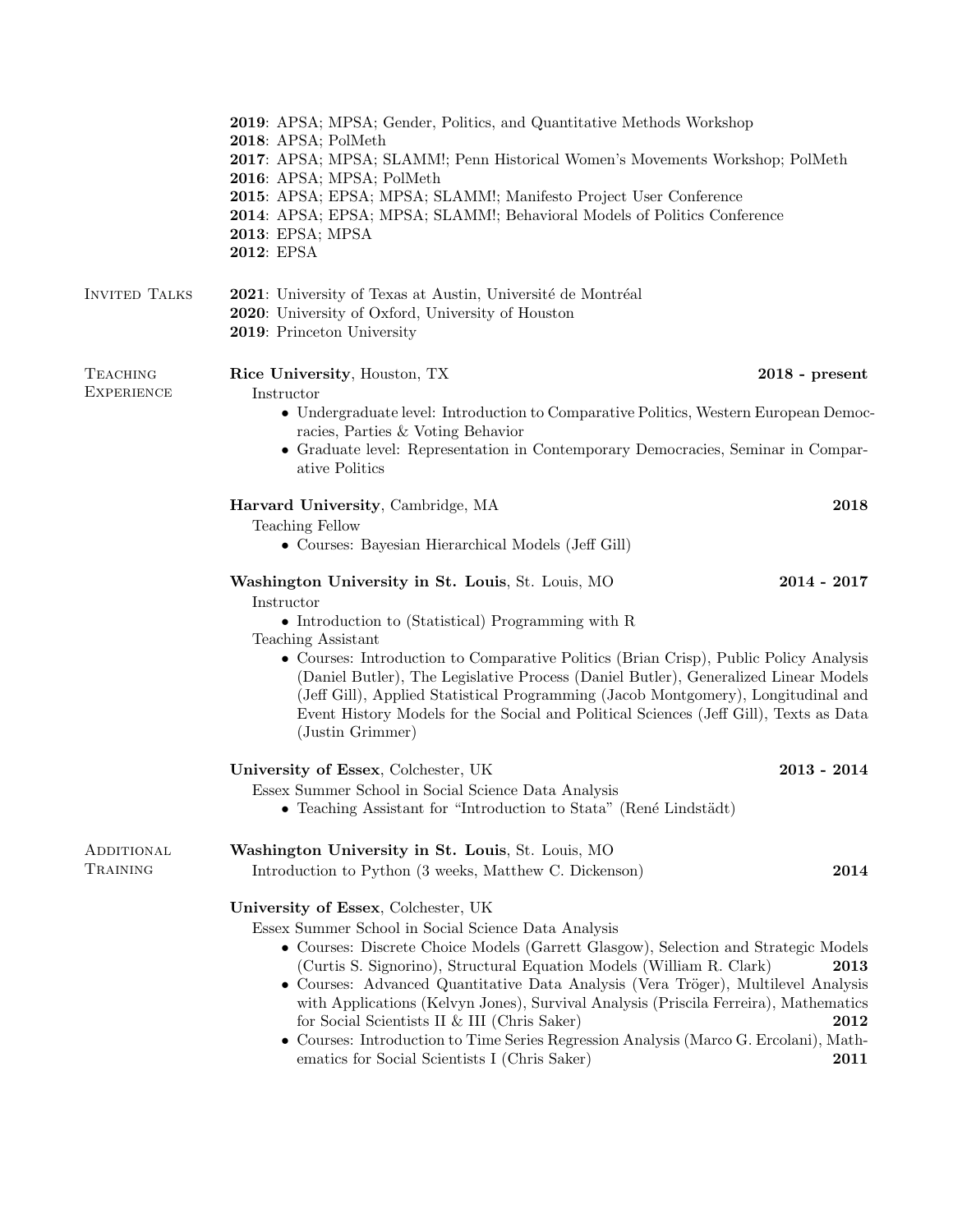|                                      | 2019: APSA; MPSA; Gender, Politics, and Quantitative Methods Workshop<br>2018: APSA; PolMeth<br>2017: APSA; MPSA; SLAMM!; Penn Historical Women's Movements Workshop; PolMeth<br>2016: APSA; MPSA; PolMeth<br>2015: APSA; EPSA; MPSA; SLAMM!; Manifesto Project User Conference<br>2014: APSA; EPSA; MPSA; SLAMM!; Behavioral Models of Politics Conference<br>2013: EPSA; MPSA<br>2012: EPSA                                                                                                                                                                                                                                                                                                                                                   |                              |
|--------------------------------------|-------------------------------------------------------------------------------------------------------------------------------------------------------------------------------------------------------------------------------------------------------------------------------------------------------------------------------------------------------------------------------------------------------------------------------------------------------------------------------------------------------------------------------------------------------------------------------------------------------------------------------------------------------------------------------------------------------------------------------------------------|------------------------------|
| <b>INVITED TALKS</b>                 | 2021: University of Texas at Austin, Université de Montréal<br>2020: University of Oxford, University of Houston<br>2019: Princeton University                                                                                                                                                                                                                                                                                                                                                                                                                                                                                                                                                                                                  |                              |
| <b>TEACHING</b><br><b>EXPERIENCE</b> | Rice University, Houston, TX<br>Instructor<br>• Undergraduate level: Introduction to Comparative Politics, Western European Democ-<br>racies, Parties & Voting Behavior<br>• Graduate level: Representation in Contemporary Democracies, Seminar in Compar-<br>ative Politics                                                                                                                                                                                                                                                                                                                                                                                                                                                                   | $2018$ - present             |
|                                      | Harvard University, Cambridge, MA<br><b>Teaching Fellow</b><br>• Courses: Bayesian Hierarchical Models (Jeff Gill)                                                                                                                                                                                                                                                                                                                                                                                                                                                                                                                                                                                                                              | 2018                         |
|                                      | Washington University in St. Louis, St. Louis, MO<br>Instructor<br>$\bullet$ Introduction to (Statistical) Programming with R<br>Teaching Assistant<br>• Courses: Introduction to Comparative Politics (Brian Crisp), Public Policy Analysis<br>(Daniel Butler), The Legislative Process (Daniel Butler), Generalized Linear Models<br>(Jeff Gill), Applied Statistical Programming (Jacob Montgomery), Longitudinal and<br>Event History Models for the Social and Political Sciences (Jeff Gill), Texts as Data<br>(Justin Grimmer)                                                                                                                                                                                                           | $2014 - 2017$                |
|                                      | University of Essex, Colchester, UK<br>Essex Summer School in Social Science Data Analysis<br>• Teaching Assistant for "Introduction to Stata" (René Lindstädt)                                                                                                                                                                                                                                                                                                                                                                                                                                                                                                                                                                                 | $2013 - 2014$                |
| ADDITIONAL<br>TRAINING               | Washington University in St. Louis, St. Louis, MO<br>Introduction to Python (3 weeks, Matthew C. Dickenson)<br>University of Essex, Colchester, UK<br>Essex Summer School in Social Science Data Analysis<br>• Courses: Discrete Choice Models (Garrett Glasgow), Selection and Strategic Models<br>(Curtis S. Signorino), Structural Equation Models (William R. Clark)<br>• Courses: Advanced Quantitative Data Analysis (Vera Tröger), Multilevel Analysis<br>with Applications (Kelvyn Jones), Survival Analysis (Priscila Ferreira), Mathematics<br>for Social Scientists II & III (Chris Saker)<br>• Courses: Introduction to Time Series Regression Analysis (Marco G. Ercolani), Math-<br>ematics for Social Scientists I (Chris Saker) | 2014<br>2013<br>2012<br>2011 |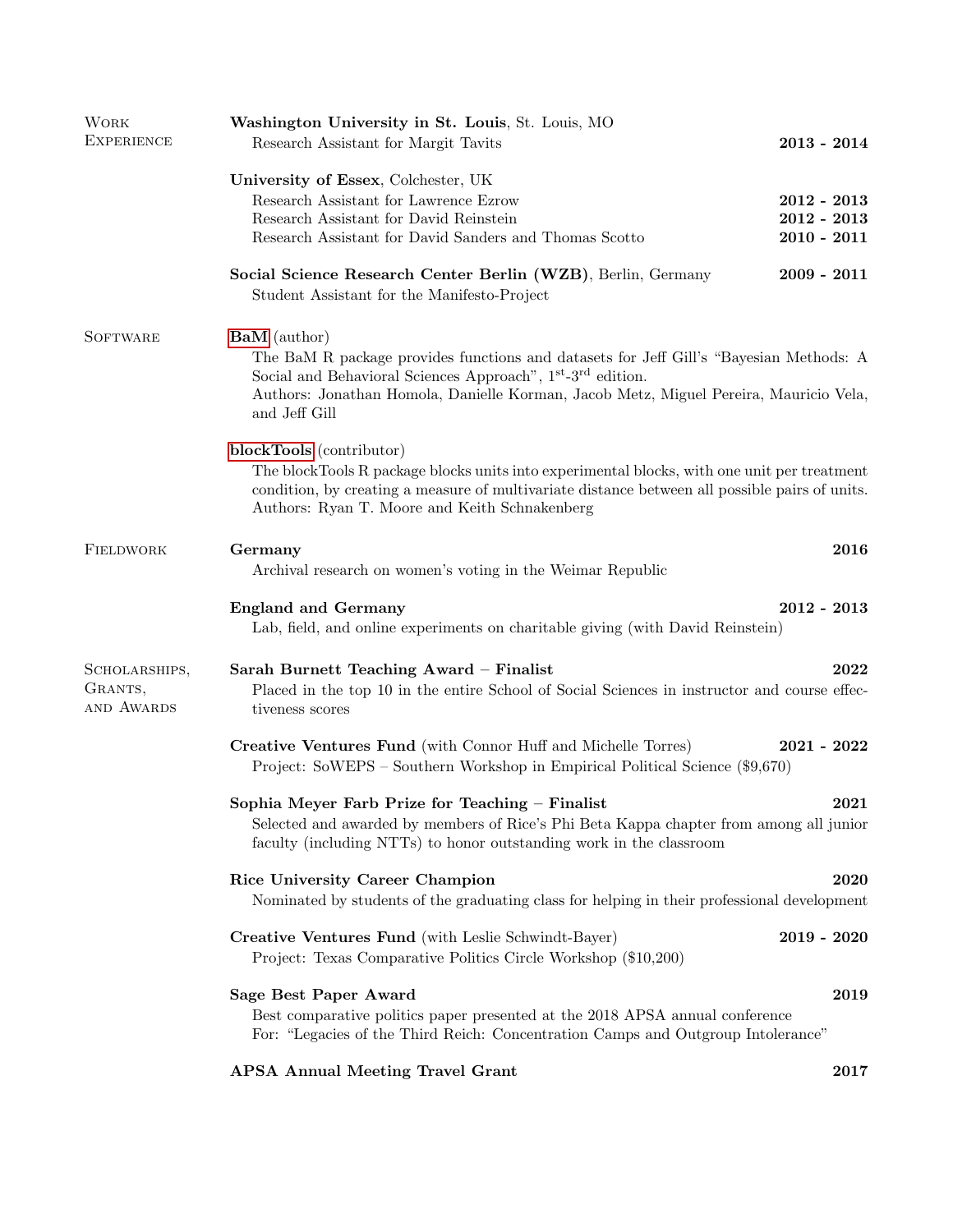| <b>WORK</b><br><b>EXPERIENCE</b>       | Washington University in St. Louis, St. Louis, MO<br>Research Assistant for Margit Tavits                                                                                                                                                                                                                      | $2013 - 2014$                                   |
|----------------------------------------|----------------------------------------------------------------------------------------------------------------------------------------------------------------------------------------------------------------------------------------------------------------------------------------------------------------|-------------------------------------------------|
|                                        | University of Essex, Colchester, UK<br>Research Assistant for Lawrence Ezrow<br>Research Assistant for David Reinstein<br>Research Assistant for David Sanders and Thomas Scotto                                                                                                                               | $2012 - 2013$<br>$2012 - 2013$<br>$2010 - 2011$ |
|                                        | Social Science Research Center Berlin (WZB), Berlin, Germany<br>Student Assistant for the Manifesto-Project                                                                                                                                                                                                    | $2009 - 2011$                                   |
| <b>SOFTWARE</b>                        | <b>BaM</b> (author)<br>The BaM R package provides functions and datasets for Jeff Gill's "Bayesian Methods: A<br>Social and Behavioral Sciences Approach", 1 <sup>st</sup> -3 <sup>rd</sup> edition.<br>Authors: Jonathan Homola, Danielle Korman, Jacob Metz, Miguel Pereira, Mauricio Vela,<br>and Jeff Gill |                                                 |
|                                        | blockTools (contributor)<br>The blockTools R package blocks units into experimental blocks, with one unit per treatment<br>condition, by creating a measure of multivariate distance between all possible pairs of units.<br>Authors: Ryan T. Moore and Keith Schnakenberg                                     |                                                 |
| FIELDWORK                              | Germany<br>Archival research on women's voting in the Weimar Republic                                                                                                                                                                                                                                          | 2016                                            |
|                                        | <b>England and Germany</b><br>Lab, field, and online experiments on charitable giving (with David Reinstein)                                                                                                                                                                                                   | $2012 - 2013$                                   |
| SCHOLARSHIPS,<br>GRANTS,<br>AND AWARDS | Sarah Burnett Teaching Award - Finalist<br>Placed in the top 10 in the entire School of Social Sciences in instructor and course effec-<br>tiveness scores                                                                                                                                                     | 2022                                            |
|                                        | Creative Ventures Fund (with Connor Huff and Michelle Torres)<br>Project: SoWEPS – Southern Workshop in Empirical Political Science (\$9,670)                                                                                                                                                                  | $2021 - 2022$                                   |
|                                        | Sophia Meyer Farb Prize for Teaching - Finalist<br>Selected and awarded by members of Rice's Phi Beta Kappa chapter from among all junior<br>faculty (including NTTs) to honor outstanding work in the classroom                                                                                               | 2021                                            |
|                                        | Rice University Career Champion<br>Nominated by students of the graduating class for helping in their professional development                                                                                                                                                                                 | 2020                                            |
|                                        | Creative Ventures Fund (with Leslie Schwindt-Bayer)<br>Project: Texas Comparative Politics Circle Workshop (\$10,200)                                                                                                                                                                                          | $2019 - 2020$                                   |
|                                        | Sage Best Paper Award<br>Best comparative politics paper presented at the 2018 APSA annual conference<br>For: "Legacies of the Third Reich: Concentration Camps and Outgroup Intolerance"                                                                                                                      | 2019                                            |
|                                        | <b>APSA Annual Meeting Travel Grant</b>                                                                                                                                                                                                                                                                        | 2017                                            |